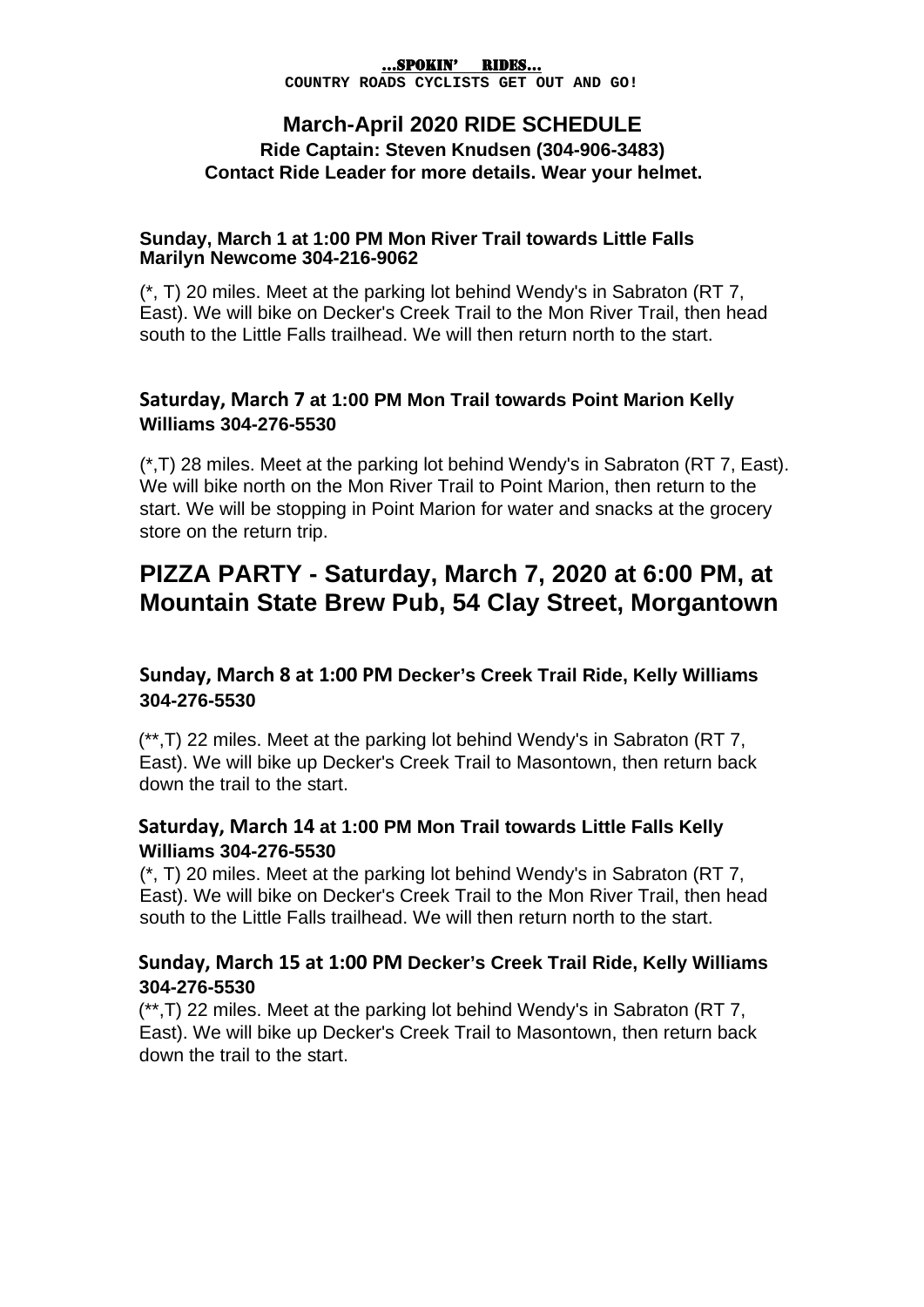#### …SPOKIN' RIDES…

**COUNTRY ROADS CYCLISTS GET OUT AND GO!**

#### **March-April 2020 RIDE SCHEDULE Ride Captain: Steven Knudsen (304-906-3483) Contact Ride Leader for more details. Wear your helmet.**

#### **Sunday, March 1 at 1:00 PM Mon River Trail towards Little Falls Marilyn Newcome 304-216-9062**

(\*, T) 20 miles. Meet at the parking lot behind Wendy's in Sabraton (RT 7, East). We will bike on Decker's Creek Trail to the Mon River Trail, then head south to the Little Falls trailhead. We will then return north to the start.

#### **Saturday, March 7 at 1:00 PM Mon Trail towards Point Marion Kelly Williams 304-276-5530**

(\*,T) 28 miles. Meet at the parking lot behind Wendy's in Sabraton (RT 7, East). We will bike north on the Mon River Trail to Point Marion, then return to the start. We will be stopping in Point Marion for water and snacks at the grocery store on the return trip.

## **PIZZA PARTY - Saturday, March 7, 2020 at 6:00 PM, at Mountain State Brew Pub, 54 Clay Street, Morgantown**

#### **Sunday, March 8 at 1:00 PM Decker's Creek Trail Ride, Kelly Williams 304-276-5530**

(\*\*,T) 22 miles. Meet at the parking lot behind Wendy's in Sabraton (RT 7, East). We will bike up Decker's Creek Trail to Masontown, then return back down the trail to the start.

#### **Saturday, March 14 at 1:00 PM Mon Trail towards Little Falls Kelly Williams 304-276-5530**

(\*, T) 20 miles. Meet at the parking lot behind Wendy's in Sabraton (RT 7, East). We will bike on Decker's Creek Trail to the Mon River Trail, then head south to the Little Falls trailhead. We will then return north to the start.

#### **Sunday, March 15 at 1:00 PM Decker's Creek Trail Ride, Kelly Williams 304-276-5530**

(\*\*,T) 22 miles. Meet at the parking lot behind Wendy's in Sabraton (RT 7, East). We will bike up Decker's Creek Trail to Masontown, then return back down the trail to the start.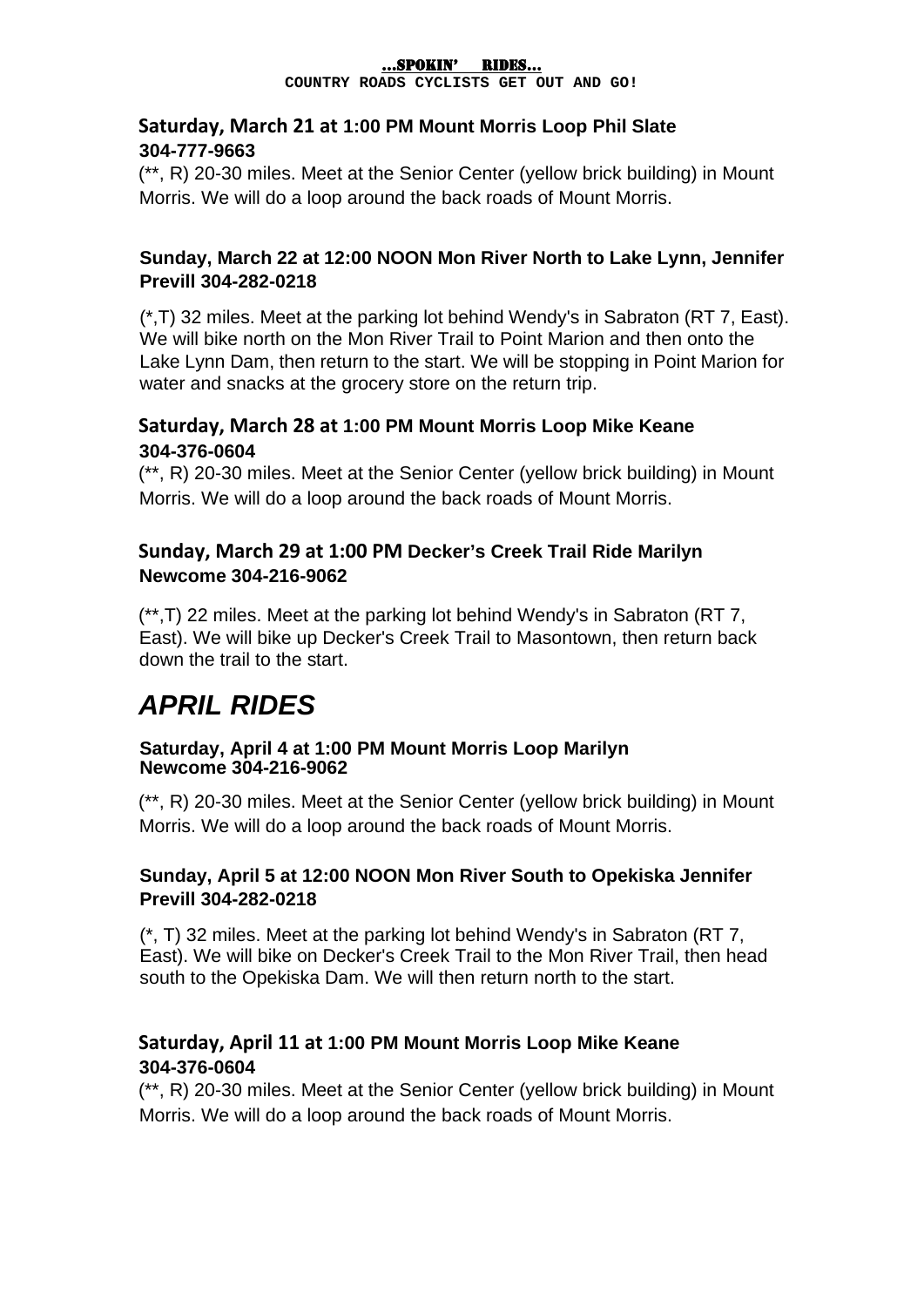#### …SPOKIN' RIDES…

**COUNTRY ROADS CYCLISTS GET OUT AND GO!**

#### **Saturday, March 21 at 1:00 PM Mount Morris Loop Phil Slate 304-777-9663**

(\*\*, R) 20-30 miles. Meet at the Senior Center (yellow brick building) in Mount Morris. We will do a loop around the back roads of Mount Morris.

#### **Sunday, March 22 at 12:00 NOON Mon River North to Lake Lynn, Jennifer Previll 304-282-0218**

(\*,T) 32 miles. Meet at the parking lot behind Wendy's in Sabraton (RT 7, East). We will bike north on the Mon River Trail to Point Marion and then onto the Lake Lynn Dam, then return to the start. We will be stopping in Point Marion for water and snacks at the grocery store on the return trip.

### **Saturday, March 28 at 1:00 PM Mount Morris Loop Mike Keane 304-376-0604**

(\*\*, R) 20-30 miles. Meet at the Senior Center (yellow brick building) in Mount Morris. We will do a loop around the back roads of Mount Morris.

### **Sunday, March 29 at 1:00 PM Decker's Creek Trail Ride Marilyn Newcome 304-216-9062**

(\*\*,T) 22 miles. Meet at the parking lot behind Wendy's in Sabraton (RT 7, East). We will bike up Decker's Creek Trail to Masontown, then return back down the trail to the start.

# *APRIL RIDES*

#### **Saturday, April 4 at 1:00 PM Mount Morris Loop Marilyn Newcome 304-216-9062**

(\*\*, R) 20-30 miles. Meet at the Senior Center (yellow brick building) in Mount Morris. We will do a loop around the back roads of Mount Morris.

#### **Sunday, April 5 at 12:00 NOON Mon River South to Opekiska Jennifer Previll 304-282-0218**

(\*, T) 32 miles. Meet at the parking lot behind Wendy's in Sabraton (RT 7, East). We will bike on Decker's Creek Trail to the Mon River Trail, then head south to the Opekiska Dam. We will then return north to the start.

## **Saturday, April 11 at 1:00 PM Mount Morris Loop Mike Keane 304-376-0604**

(\*\*, R) 20-30 miles. Meet at the Senior Center (yellow brick building) in Mount Morris. We will do a loop around the back roads of Mount Morris.